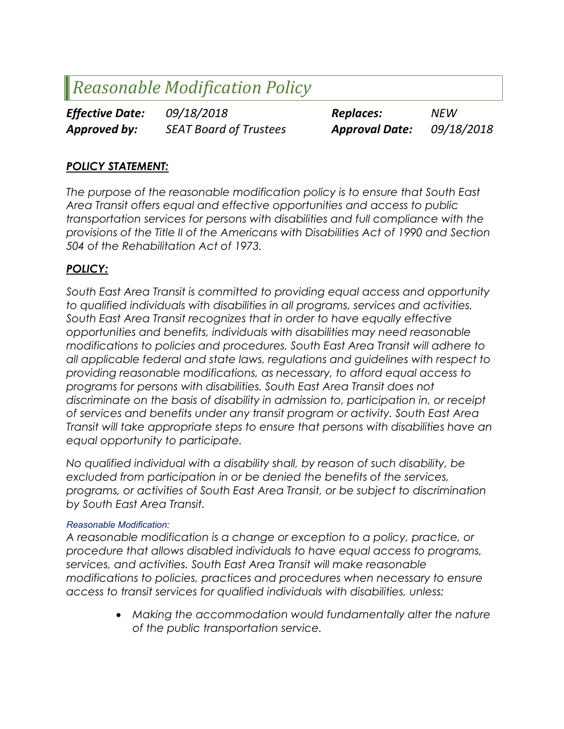# Reasonable Modification Policy

Effective Date:  $09/18/2018$  Replaces: NEW Approved by: SEAT Board of Trustees Approval Date: 09/18/2018

# POLICY STATEMENT:

The purpose of the reasonable modification policy is to ensure that South East Area Transit offers equal and effective opportunities and access to public transportation services for persons with disabilities and full compliance with the provisions of the Title II of the Americans with Disabilities Act of 1990 and Section 504 of the Rehabilitation Act of 1973.

# POLICY:

South East Area Transit is committed to providing equal access and opportunity to qualified individuals with disabilities in all programs, services and activities. South East Area Transit recognizes that in order to have equally effective opportunities and benefits, individuals with disabilities may need reasonable modifications to policies and procedures. South East Area Transit will adhere to all applicable federal and state laws, regulations and guidelines with respect to providing reasonable modifications, as necessary, to afford equal access to programs for persons with disabilities. South East Area Transit does not discriminate on the basis of disability in admission to, participation in, or receipt of services and benefits under any transit program or activity. South East Area Transit will take appropriate steps to ensure that persons with disabilities have an equal opportunity to participate.

No qualified individual with a disability shall, by reason of such disability, be excluded from participation in or be denied the benefits of the services, programs, or activities of South East Area Transit, or be subject to discrimination by South East Area Transit.

## Reasonable Modification:

A reasonable modification is a change or exception to a policy, practice, or procedure that allows disabled individuals to have equal access to programs, services, and activities. South East Area Transit will make reasonable modifications to policies, practices and procedures when necessary to ensure access to transit services for qualified individuals with disabilities, unless:

> Making the accommodation would fundamentally alter the nature of the public transportation service.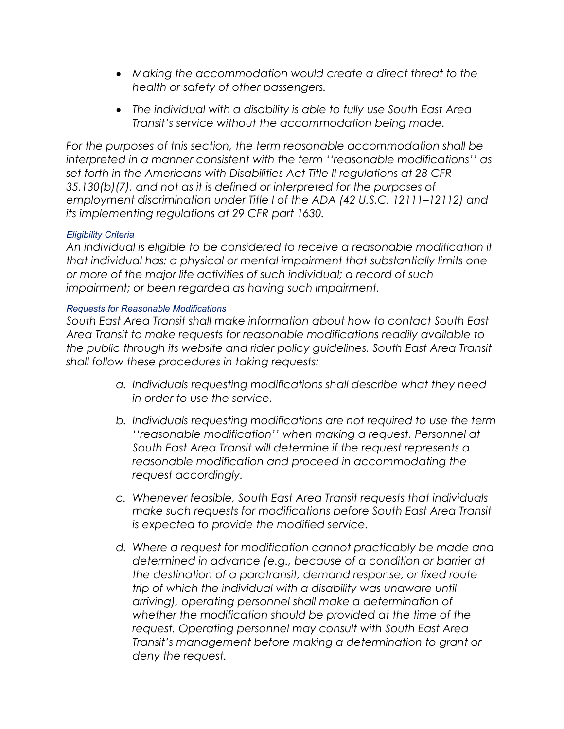- Making the accommodation would create a direct threat to the health or safety of other passengers.
- The individual with a disability is able to fully use South East Area Transit's service without the accommodation being made.

For the purposes of this section, the term reasonable accommodation shall be interpreted in a manner consistent with the term ''reasonable modifications'' as set forth in the Americans with Disabilities Act Title II regulations at 28 CFR 35.130(b)(7), and not as it is defined or interpreted for the purposes of employment discrimination under Title I of the ADA (42 U.S.C. 12111–12112) and its implementing regulations at 29 CFR part 1630.

## Eligibility Criteria

An individual is eligible to be considered to receive a reasonable modification if that individual has: a physical or mental impairment that substantially limits one or more of the major life activities of such individual; a record of such impairment; or been regarded as having such impairment.

# Requests for Reasonable Modifications

South East Area Transit shall make information about how to contact South East Area Transit to make requests for reasonable modifications readily available to the public through its website and rider policy guidelines. South East Area Transit shall follow these procedures in taking requests:

- a. Individuals requesting modifications shall describe what they need in order to use the service.
- b. Individuals requesting modifications are not required to use the term ''reasonable modification'' when making a request. Personnel at South East Area Transit will determine if the request represents a reasonable modification and proceed in accommodating the request accordingly.
- c. Whenever feasible, South East Area Transit requests that individuals make such requests for modifications before South East Area Transit is expected to provide the modified service.
- d. Where a request for modification cannot practicably be made and determined in advance (e.g., because of a condition or barrier at the destination of a paratransit, demand response, or fixed route trip of which the individual with a disability was unaware until arriving), operating personnel shall make a determination of whether the modification should be provided at the time of the request. Operating personnel may consult with South East Area Transit's management before making a determination to grant or deny the request.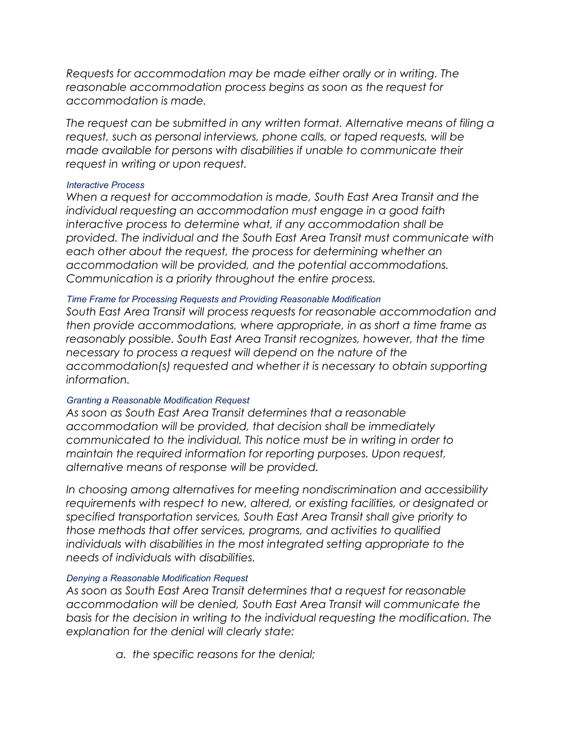Requests for accommodation may be made either orally or in writing. The reasonable accommodation process begins as soon as the request for accommodation is made.

The request can be submitted in any written format. Alternative means of filing a request, such as personal interviews, phone calls, or taped requests, will be made available for persons with disabilities if unable to communicate their request in writing or upon request.

#### Interactive Process

When a request for accommodation is made, South East Area Transit and the individual requesting an accommodation must engage in a good faith interactive process to determine what, if any accommodation shall be provided. The individual and the South East Area Transit must communicate with each other about the request, the process for determining whether an accommodation will be provided, and the potential accommodations. Communication is a priority throughout the entire process.

## Time Frame for Processing Requests and Providing Reasonable Modification

South East Area Transit will process requests for reasonable accommodation and then provide accommodations, where appropriate, in as short a time frame as reasonably possible. South East Area Transit recognizes, however, that the time necessary to process a request will depend on the nature of the accommodation(s) requested and whether it is necessary to obtain supporting information.

## Granting a Reasonable Modification Request

As soon as South East Area Transit determines that a reasonable accommodation will be provided, that decision shall be immediately communicated to the individual. This notice must be in writing in order to maintain the required information for reporting purposes. Upon request, alternative means of response will be provided.

In choosing among alternatives for meeting nondiscrimination and accessibility requirements with respect to new, altered, or existing facilities, or designated or specified transportation services, South East Area Transit shall give priority to those methods that offer services, programs, and activities to qualified individuals with disabilities in the most integrated setting appropriate to the needs of individuals with disabilities.

## Denying a Reasonable Modification Request

As soon as South East Area Transit determines that a request for reasonable accommodation will be denied, South East Area Transit will communicate the basis for the decision in writing to the individual requesting the modification. The explanation for the denial will clearly state:

a. the specific reasons for the denial;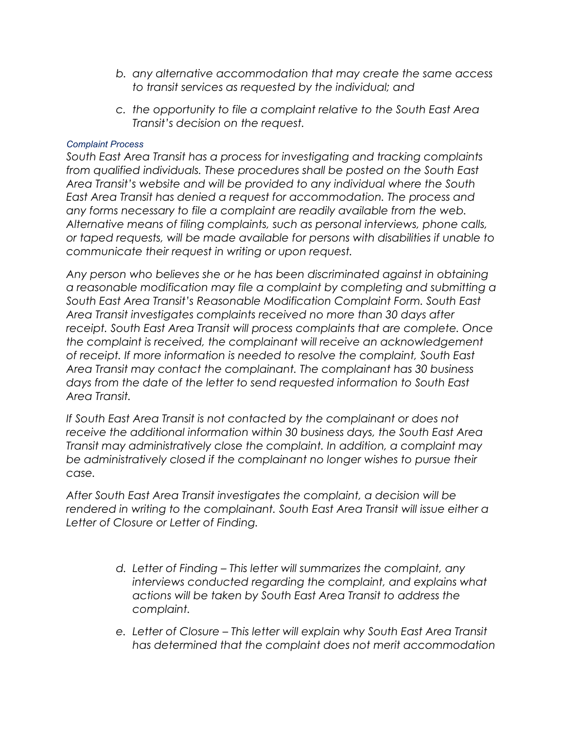- b. any alternative accommodation that may create the same access to transit services as requested by the individual; and
- c. the opportunity to file a complaint relative to the South East Area Transit's decision on the request.

#### Complaint Process

South East Area Transit has a process for investigating and tracking complaints from qualified individuals. These procedures shall be posted on the South East Area Transit's website and will be provided to any individual where the South East Area Transit has denied a request for accommodation. The process and any forms necessary to file a complaint are readily available from the web. Alternative means of filing complaints, such as personal interviews, phone calls, or taped requests, will be made available for persons with disabilities if unable to communicate their request in writing or upon request.

Any person who believes she or he has been discriminated against in obtaining a reasonable modification may file a complaint by completing and submitting a South East Area Transit's Reasonable Modification Complaint Form. South East Area Transit investigates complaints received no more than 30 days after receipt. South East Area Transit will process complaints that are complete. Once the complaint is received, the complainant will receive an acknowledgement of receipt. If more information is needed to resolve the complaint, South East Area Transit may contact the complainant. The complainant has 30 business days from the date of the letter to send requested information to South East Area Transit.

If South East Area Transit is not contacted by the complainant or does not receive the additional information within 30 business days, the South East Area Transit may administratively close the complaint. In addition, a complaint may be administratively closed if the complainant no longer wishes to pursue their case.

After South East Area Transit investigates the complaint, a decision will be rendered in writing to the complainant. South East Area Transit will issue either a Letter of Closure or Letter of Finding.

- d. Letter of Finding This letter will summarizes the complaint, any interviews conducted regarding the complaint, and explains what actions will be taken by South East Area Transit to address the complaint.
- e. Letter of Closure This letter will explain why South East Area Transit has determined that the complaint does not merit accommodation